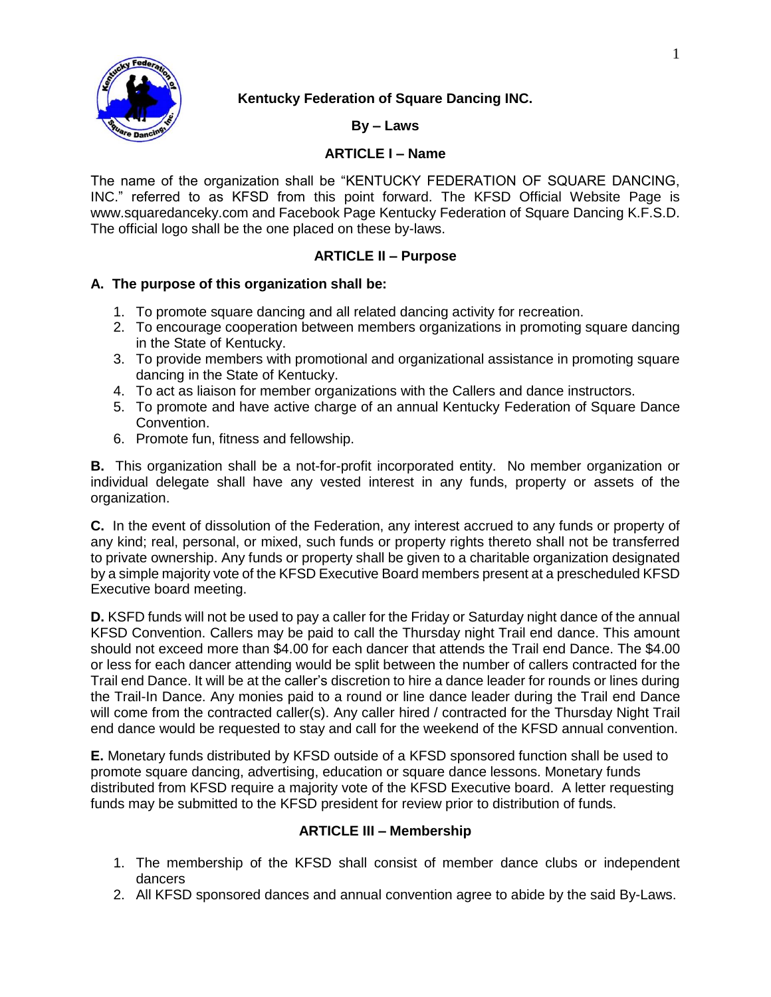

# **Kentucky Federation of Square Dancing INC.**

## **By – Laws**

## **ARTICLE I – Name**

The name of the organization shall be "KENTUCKY FEDERATION OF SQUARE DANCING, INC." referred to as KFSD from this point forward. The KFSD Official Website Page is [www.squaredanceky.com](http://www.squaredanceky.com/) and Facebook Page Kentucky Federation of Square Dancing K.F.S.D. The official logo shall be the one placed on these by-laws.

## **ARTICLE II – Purpose**

# **A. The purpose of this organization shall be:**

- 1. To promote square dancing and all related dancing activity for recreation.
- 2. To encourage cooperation between members organizations in promoting square dancing in the State of Kentucky.
- 3. To provide members with promotional and organizational assistance in promoting square dancing in the State of Kentucky.
- 4. To act as liaison for member organizations with the Callers and dance instructors.
- 5. To promote and have active charge of an annual Kentucky Federation of Square Dance Convention.
- 6. Promote fun, fitness and fellowship.

**B.** This organization shall be a not-for-profit incorporated entity. No member organization or individual delegate shall have any vested interest in any funds, property or assets of the organization.

**C.** In the event of dissolution of the Federation, any interest accrued to any funds or property of any kind; real, personal, or mixed, such funds or property rights thereto shall not be transferred to private ownership. Any funds or property shall be given to a charitable organization designated by a simple majority vote of the KFSD Executive Board members present at a prescheduled KFSD Executive board meeting.

**D.** KSFD funds will not be used to pay a caller for the Friday or Saturday night dance of the annual KFSD Convention. Callers may be paid to call the Thursday night Trail end dance. This amount should not exceed more than \$4.00 for each dancer that attends the Trail end Dance. The \$4.00 or less for each dancer attending would be split between the number of callers contracted for the Trail end Dance. It will be at the caller's discretion to hire a dance leader for rounds or lines during the Trail-In Dance. Any monies paid to a round or line dance leader during the Trail end Dance will come from the contracted caller(s). Any caller hired / contracted for the Thursday Night Trail end dance would be requested to stay and call for the weekend of the KFSD annual convention.

**E.** Monetary funds distributed by KFSD outside of a KFSD sponsored function shall be used to promote square dancing, advertising, education or square dance lessons. Monetary funds distributed from KFSD require a majority vote of the KFSD Executive board. A letter requesting funds may be submitted to the KFSD president for review prior to distribution of funds.

# **ARTICLE III – Membership**

- 1. The membership of the KFSD shall consist of member dance clubs or independent dancers
- 2. All KFSD sponsored dances and annual convention agree to abide by the said By-Laws.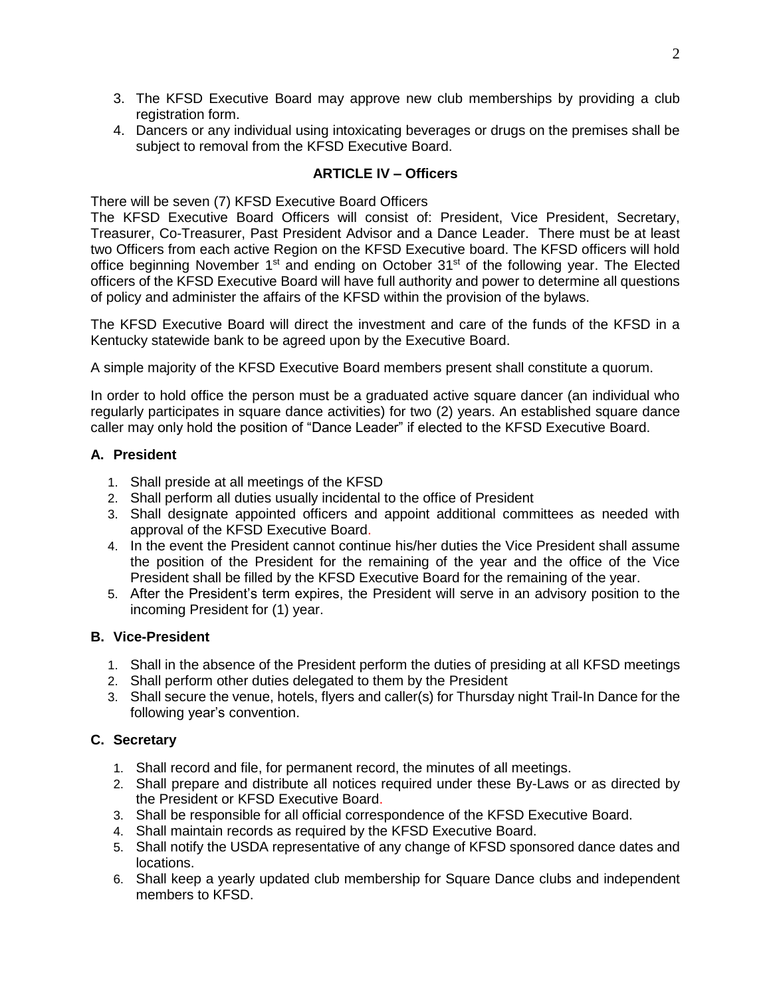- 3. The KFSD Executive Board may approve new club memberships by providing a club registration form.
- 4. Dancers or any individual using intoxicating beverages or drugs on the premises shall be subject to removal from the KFSD Executive Board.

# **ARTICLE IV – Officers**

There will be seven (7) KFSD Executive Board Officers

The KFSD Executive Board Officers will consist of: President, Vice President, Secretary, Treasurer, Co-Treasurer, Past President Advisor and a Dance Leader. There must be at least two Officers from each active Region on the KFSD Executive board. The KFSD officers will hold office beginning November 1<sup>st</sup> and ending on October 31<sup>st</sup> of the following year. The Elected officers of the KFSD Executive Board will have full authority and power to determine all questions of policy and administer the affairs of the KFSD within the provision of the bylaws.

The KFSD Executive Board will direct the investment and care of the funds of the KFSD in a Kentucky statewide bank to be agreed upon by the Executive Board.

A simple majority of the KFSD Executive Board members present shall constitute a quorum.

In order to hold office the person must be a graduated active square dancer (an individual who regularly participates in square dance activities) for two (2) years. An established square dance caller may only hold the position of "Dance Leader" if elected to the KFSD Executive Board.

# **A. President**

- 1. Shall preside at all meetings of the KFSD
- 2. Shall perform all duties usually incidental to the office of President
- 3. Shall designate appointed officers and appoint additional committees as needed with approval of the KFSD Executive Board.
- 4. In the event the President cannot continue his/her duties the Vice President shall assume the position of the President for the remaining of the year and the office of the Vice President shall be filled by the KFSD Executive Board for the remaining of the year.
- 5. After the President's term expires, the President will serve in an advisory position to the incoming President for (1) year.

# **B. Vice-President**

- 1. Shall in the absence of the President perform the duties of presiding at all KFSD meetings
- 2. Shall perform other duties delegated to them by the President
- 3. Shall secure the venue, hotels, flyers and caller(s) for Thursday night Trail-In Dance for the following year's convention.

# **C. Secretary**

- 1. Shall record and file, for permanent record, the minutes of all meetings.
- 2. Shall prepare and distribute all notices required under these By-Laws or as directed by the President or KFSD Executive Board.
- 3. Shall be responsible for all official correspondence of the KFSD Executive Board.
- 4. Shall maintain records as required by the KFSD Executive Board.
- 5. Shall notify the USDA representative of any change of KFSD sponsored dance dates and locations.
- 6. Shall keep a yearly updated club membership for Square Dance clubs and independent members to KFSD.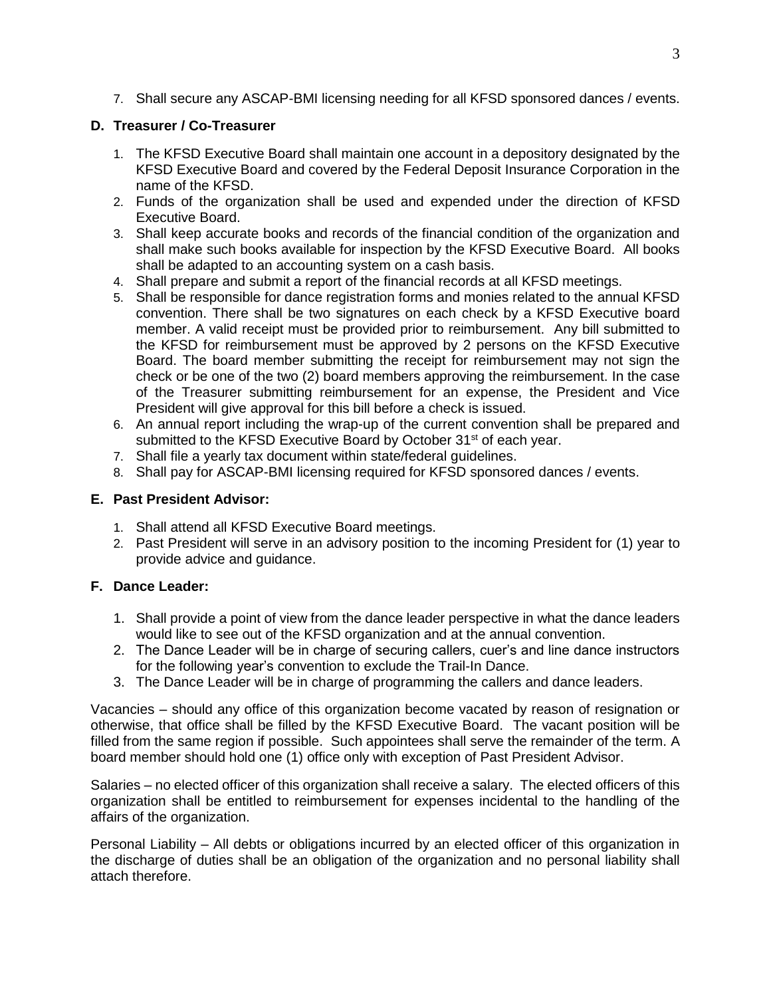7. Shall secure any ASCAP-BMI licensing needing for all KFSD sponsored dances / events.

### **D. Treasurer / Co-Treasurer**

- 1. The KFSD Executive Board shall maintain one account in a depository designated by the KFSD Executive Board and covered by the Federal Deposit Insurance Corporation in the name of the KFSD.
- 2. Funds of the organization shall be used and expended under the direction of KFSD Executive Board.
- 3. Shall keep accurate books and records of the financial condition of the organization and shall make such books available for inspection by the KFSD Executive Board. All books shall be adapted to an accounting system on a cash basis.
- 4. Shall prepare and submit a report of the financial records at all KFSD meetings.
- 5. Shall be responsible for dance registration forms and monies related to the annual KFSD convention. There shall be two signatures on each check by a KFSD Executive board member. A valid receipt must be provided prior to reimbursement. Any bill submitted to the KFSD for reimbursement must be approved by 2 persons on the KFSD Executive Board. The board member submitting the receipt for reimbursement may not sign the check or be one of the two (2) board members approving the reimbursement. In the case of the Treasurer submitting reimbursement for an expense, the President and Vice President will give approval for this bill before a check is issued.
- 6. An annual report including the wrap-up of the current convention shall be prepared and submitted to the KFSD Executive Board by October 31<sup>st</sup> of each year.
- 7. Shall file a yearly tax document within state/federal guidelines.
- 8. Shall pay for ASCAP-BMI licensing required for KFSD sponsored dances / events.

### **E. Past President Advisor:**

- 1. Shall attend all KFSD Executive Board meetings.
- 2. Past President will serve in an advisory position to the incoming President for (1) year to provide advice and guidance.

### **F. Dance Leader:**

- 1. Shall provide a point of view from the dance leader perspective in what the dance leaders would like to see out of the KFSD organization and at the annual convention.
- 2. The Dance Leader will be in charge of securing callers, cuer's and line dance instructors for the following year's convention to exclude the Trail-In Dance.
- 3. The Dance Leader will be in charge of programming the callers and dance leaders.

Vacancies – should any office of this organization become vacated by reason of resignation or otherwise, that office shall be filled by the KFSD Executive Board. The vacant position will be filled from the same region if possible. Such appointees shall serve the remainder of the term. A board member should hold one (1) office only with exception of Past President Advisor.

Salaries – no elected officer of this organization shall receive a salary. The elected officers of this organization shall be entitled to reimbursement for expenses incidental to the handling of the affairs of the organization.

Personal Liability – All debts or obligations incurred by an elected officer of this organization in the discharge of duties shall be an obligation of the organization and no personal liability shall attach therefore.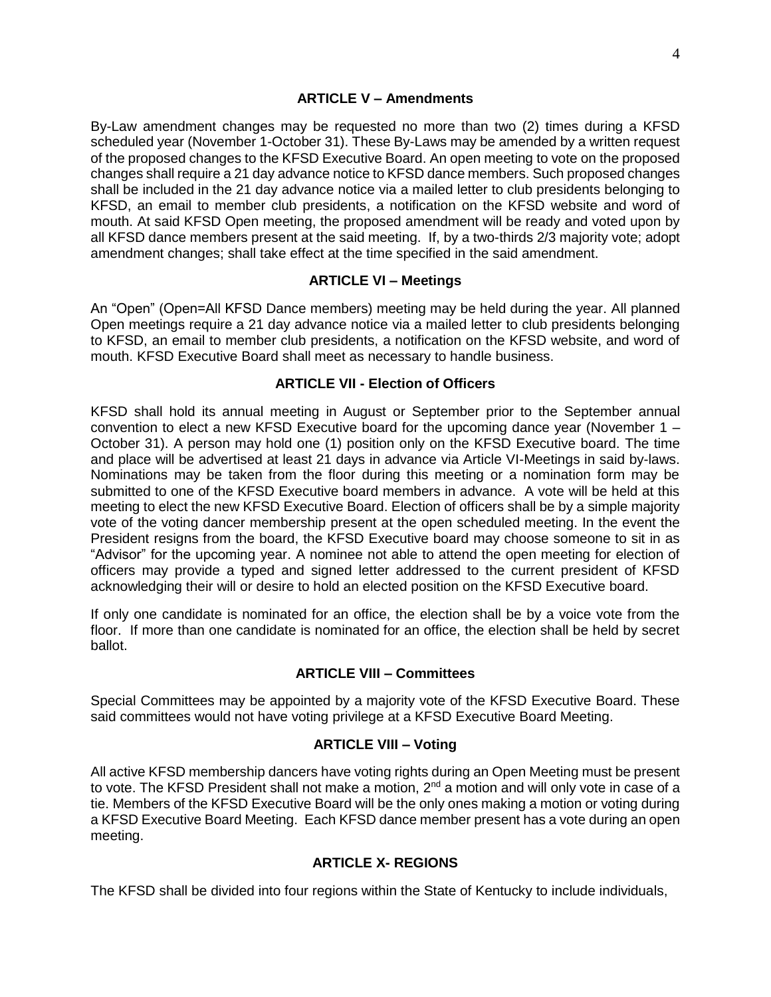By-Law amendment changes may be requested no more than two (2) times during a KFSD scheduled year (November 1-October 31). These By-Laws may be amended by a written request of the proposed changes to the KFSD Executive Board. An open meeting to vote on the proposed changes shall require a 21 day advance notice to KFSD dance members. Such proposed changes shall be included in the 21 day advance notice via a mailed letter to club presidents belonging to KFSD, an email to member club presidents, a notification on the KFSD website and word of mouth. At said KFSD Open meeting, the proposed amendment will be ready and voted upon by all KFSD dance members present at the said meeting. If, by a two-thirds 2/3 majority vote; adopt amendment changes; shall take effect at the time specified in the said amendment.

#### **ARTICLE VI – Meetings**

An "Open" (Open=All KFSD Dance members) meeting may be held during the year. All planned Open meetings require a 21 day advance notice via a mailed letter to club presidents belonging to KFSD, an email to member club presidents, a notification on the KFSD website, and word of mouth. KFSD Executive Board shall meet as necessary to handle business.

### **ARTICLE VII - Election of Officers**

KFSD shall hold its annual meeting in August or September prior to the September annual convention to elect a new KFSD Executive board for the upcoming dance year (November 1 – October 31). A person may hold one (1) position only on the KFSD Executive board. The time and place will be advertised at least 21 days in advance via Article VI-Meetings in said by-laws. Nominations may be taken from the floor during this meeting or a nomination form may be submitted to one of the KFSD Executive board members in advance. A vote will be held at this meeting to elect the new KFSD Executive Board. Election of officers shall be by a simple majority vote of the voting dancer membership present at the open scheduled meeting. In the event the President resigns from the board, the KFSD Executive board may choose someone to sit in as "Advisor" for the upcoming year. A nominee not able to attend the open meeting for election of officers may provide a typed and signed letter addressed to the current president of KFSD acknowledging their will or desire to hold an elected position on the KFSD Executive board.

If only one candidate is nominated for an office, the election shall be by a voice vote from the floor. If more than one candidate is nominated for an office, the election shall be held by secret ballot.

### **ARTICLE VIII – Committees**

Special Committees may be appointed by a majority vote of the KFSD Executive Board. These said committees would not have voting privilege at a KFSD Executive Board Meeting.

### **ARTICLE VIII – Voting**

All active KFSD membership dancers have voting rights during an Open Meeting must be present to vote. The KFSD President shall not make a motion, 2<sup>nd</sup> a motion and will only vote in case of a tie. Members of the KFSD Executive Board will be the only ones making a motion or voting during a KFSD Executive Board Meeting. Each KFSD dance member present has a vote during an open meeting.

### **ARTICLE X- REGIONS**

The KFSD shall be divided into four regions within the State of Kentucky to include individuals,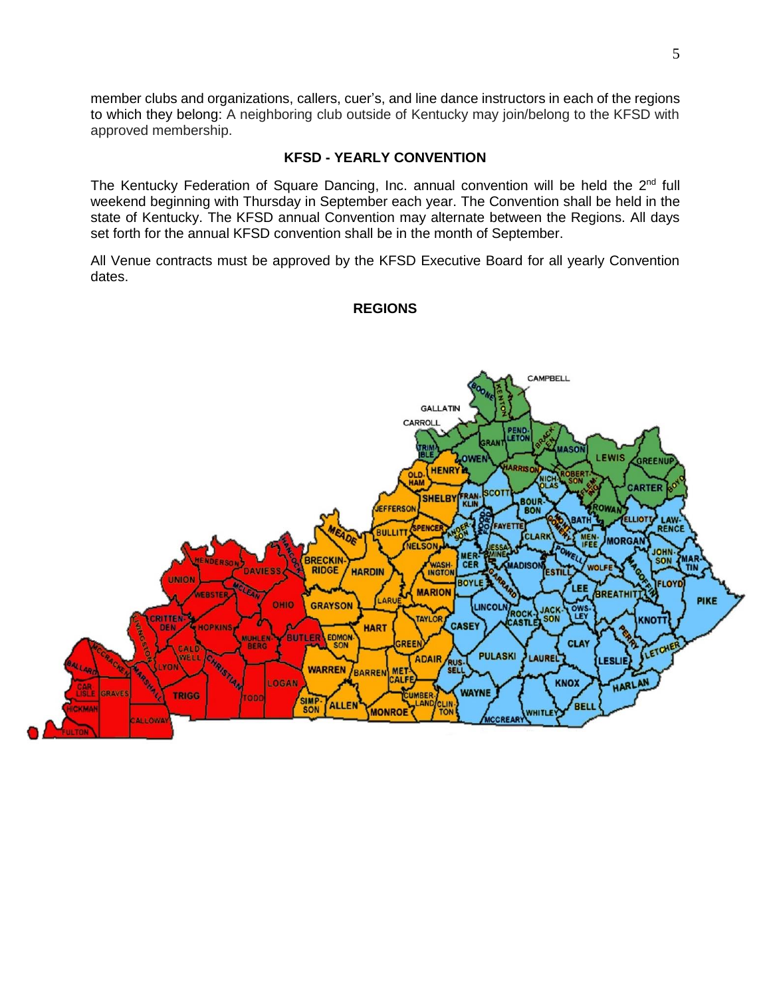member clubs and organizations, callers, cuer's, and line dance instructors in each of the regions to which they belong: A neighboring club outside of Kentucky may join/belong to the KFSD with approved membership.

#### **KFSD - YEARLY CONVENTION**

The Kentucky Federation of Square Dancing, Inc. annual convention will be held the 2<sup>nd</sup> full weekend beginning with Thursday in September each year. The Convention shall be held in the state of Kentucky. The KFSD annual Convention may alternate between the Regions. All days set forth for the annual KFSD convention shall be in the month of September.

All Venue contracts must be approved by the KFSD Executive Board for all yearly Convention dates.

#### **REGIONS**